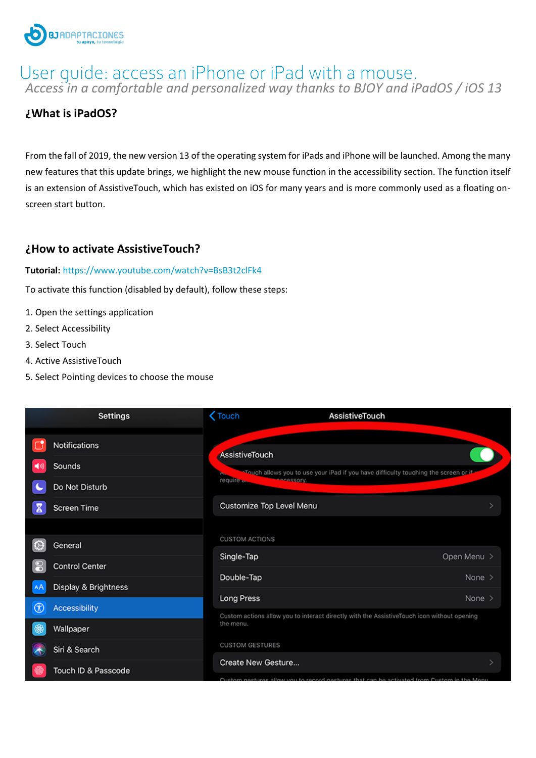

# *Access in a comfortable and personalized way thanks to BJOY and iPadOS / iOS 13* User guide: access an iPhone or iPad with a mouse.

## **¿What is iPadOS?**

From the fall of 2019, the new version 13 of the operating system for iPads and iPhone will be launched. Among the many new features that this update brings, we highlight the new mouse function in the accessibility section. The function itself is an extension of AssistiveTouch, which has existed on iOS for many years and is more commonly used as a floating onscreen start button.

#### **¿How to activate AssistiveTouch?**

#### **Tutorial:** <https://www.youtube.com/watch?v=BsB3t2clFk4>

To activate this function (disabled by default), follow these steps:

- 1. Open the settings application
- 2. Select Accessibility
- 3. Select Touch
- 4. Active AssistiveTouch
- 5. Select Pointing devices to choose the mouse

|                | <b>Settings</b>                                                 | $\zeta$ Touch                                     | AssistiveTouch                                                                                                                      |                         |  |
|----------------|-----------------------------------------------------------------|---------------------------------------------------|-------------------------------------------------------------------------------------------------------------------------------------|-------------------------|--|
|                | Notifications<br>Sounds<br>Do Not Disturb<br><b>Screen Time</b> | AssistiveTouch<br>require                         | *Touch allows you to use your iPad if you have difficulty touching the screen or if<br><b>ACCOSSORY</b><br>Customize Top Level Menu |                         |  |
|                | General<br><b>Control Center</b><br>Display & Brightness        | <b>CUSTOM ACTIONS</b><br>Single-Tap<br>Double-Tap |                                                                                                                                     | Open Menu ><br>None $>$ |  |
| $^{\circledR}$ | Accessibility                                                   | Long Press<br>the menu.                           | Custom actions allow you to interact directly with the AssistiveTouch icon without opening                                          | None $>$                |  |
|                | Wallpaper<br>Siri & Search                                      | <b>CUSTOM GESTURES</b><br>Create New Gesture      |                                                                                                                                     |                         |  |
|                | Touch ID & Passcode                                             |                                                   | Custom nestures allow you to record gestures that can be activated from Custom in the Menu                                          |                         |  |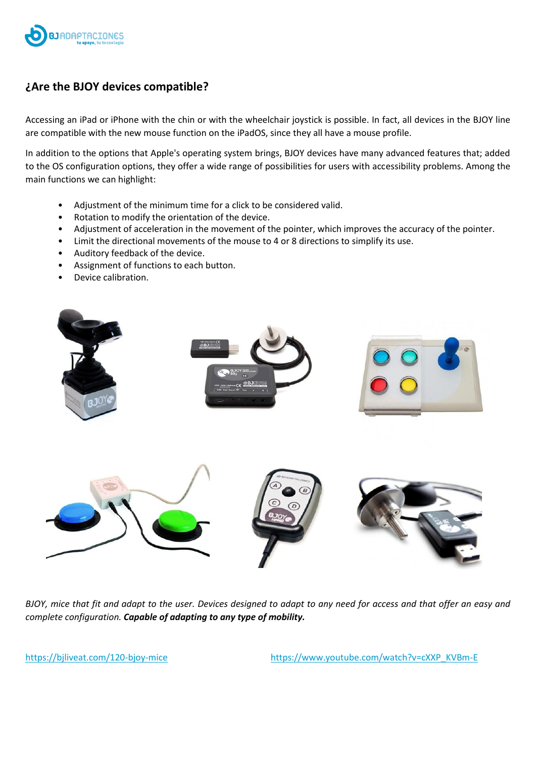

## **¿Are the BJOY devices compatible?**

Accessing an iPad or iPhone with the chin or with the wheelchair joystick is possible. In fact, all devices in the BJOY line are compatible with the new mouse function on the iPadOS, since they all have a mouse profile.

In addition to the options that Apple's operating system brings, BJOY devices have many advanced features that; added to the OS configuration options, they offer a wide range of possibilities for users with accessibility problems. Among the main functions we can highlight:

- Adjustment of the minimum time for a click to be considered valid.
- Rotation to modify the orientation of the device.
- Adjustment of acceleration in the movement of the pointer, which improves the accuracy of the pointer.
- Limit the directional movements of the mouse to 4 or 8 directions to simplify its use.
- Auditory feedback of the device.
- Assignment of functions to each button.
- Device calibration.



*BJOY, mice that fit and adapt to the user. Devices designed to adapt to any need for access and that offer an easy and complete configuration. Capable of adapting to any type of mobility.*

<https://bjliveat.com/120-bjoy-mice>[https://www.youtube.com/watch?v=cXXP\\_KVBm-E](https://www.youtube.com/watch?v=cXXP_KVBm-E)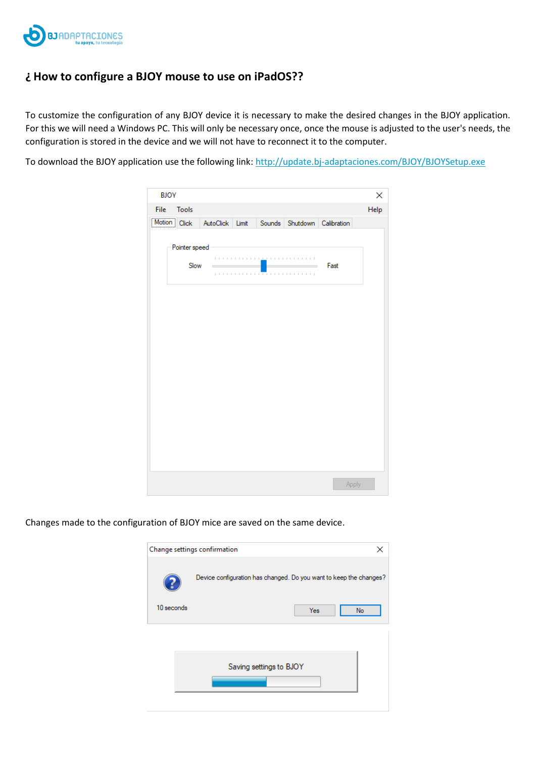

## **¿ How to configure a BJOY mouse to use on iPadOS??**

To customize the configuration of any BJOY device it is necessary to make the desired changes in the BJOY application. For this we will need a Windows PC. This will only be necessary once, once the mouse is adjusted to the user's needs, the configuration is stored in the device and we will not have to reconnect it to the computer.

To download the BJOY application use the following link: <http://update.bj-adaptaciones.com/BJOY/BJOYSetup.exe>

| <b>BJOY</b>           |               |                                                                    |        |      |                      | × |  |  |  |  |
|-----------------------|---------------|--------------------------------------------------------------------|--------|------|----------------------|---|--|--|--|--|
| Help<br>Tools<br>File |               |                                                                    |        |      |                      |   |  |  |  |  |
| $Motion$ Click        |               | AutoClick Limit                                                    | Sounds |      | Shutdown Calibration |   |  |  |  |  |
|                       | Pointer speed |                                                                    |        |      |                      |   |  |  |  |  |
|                       | Slow          | $\mathbb{R}$<br>$\mathbb{R}^n$<br>$\mathbb{R}^n$<br>$\mathbb{R}^n$ | .      | Fast |                      |   |  |  |  |  |
|                       |               |                                                                    |        |      |                      |   |  |  |  |  |
|                       |               |                                                                    |        |      |                      |   |  |  |  |  |
|                       |               |                                                                    |        |      |                      |   |  |  |  |  |
|                       |               |                                                                    |        |      |                      |   |  |  |  |  |
|                       |               |                                                                    |        |      |                      |   |  |  |  |  |
|                       |               |                                                                    |        |      |                      |   |  |  |  |  |
|                       |               |                                                                    |        |      |                      |   |  |  |  |  |
|                       |               |                                                                    |        |      |                      |   |  |  |  |  |
|                       |               |                                                                    |        |      |                      |   |  |  |  |  |
|                       |               |                                                                    |        |      |                      |   |  |  |  |  |
|                       |               |                                                                    |        |      |                      |   |  |  |  |  |
|                       |               |                                                                    |        |      |                      |   |  |  |  |  |
|                       |               |                                                                    |        |      |                      |   |  |  |  |  |
|                       |               |                                                                    |        |      |                      |   |  |  |  |  |
|                       |               |                                                                    |        |      | Apply                |   |  |  |  |  |

Changes made to the configuration of BJOY mice are saved on the same device.